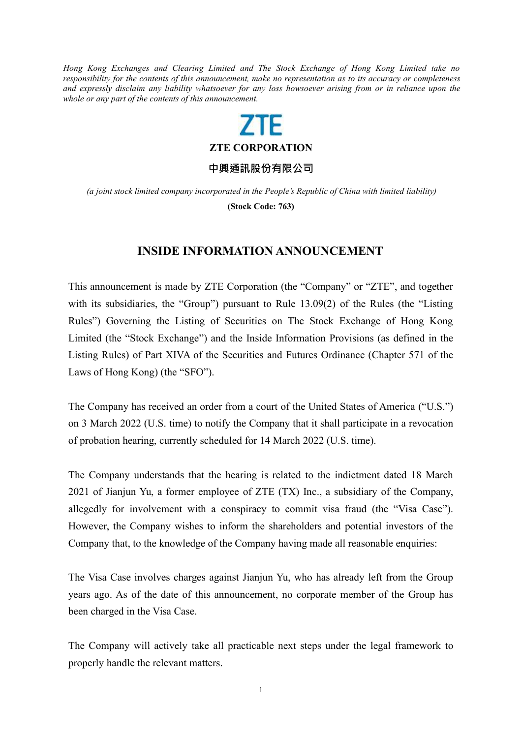*Hong Kong Exchanges and Clearing Limited and The Stock Exchange of Hong Kong Limited take no responsibility for the contents of this announcement, make no representation as to its accuracy or completeness* and expressly disclaim any liability whatsoever for any loss howsoever arising from or in reliance upon the *whole or any part of the contents of this announcement.*

## **ZTF**

**ZTE CORPORATION**

**中興通訊股份有限公司**

*(a joint stock limited company incorporated in the People's Republic of China with limited liability)* **(Stock Code: 763)**

## **INSIDE INFORMATION ANNOUNCEMENT**

This announcement is made by ZTE Corporation (the "Company" or "ZTE", and together with its subsidiaries, the "Group") pursuant to Rule 13.09(2) of the Rules (the "Listing Rules") Governing the Listing of Securities on The Stock Exchange of Hong Kong Limited (the "Stock Exchange") and the Inside Information Provisions (as defined in the Listing Rules) of Part XIVA of the Securities and Futures Ordinance (Chapter 571 of the Laws of Hong Kong) (the "SFO").

The Company has received an order from a court of the United States of America ("U.S.") on 3 March 2022 (U.S. time) to notify the Company that it shall participate in a revocation of probation hearing, currently scheduled for 14 March 2022 (U.S. time).

The Company understands that the hearing is related to the indictment dated 18 March 2021 of Jianjun Yu, a former employee of ZTE (TX) Inc., a subsidiary of the Company, allegedly for involvement with a conspiracy to commit visa fraud (the "Visa Case"). However, the Company wishes to inform the shareholders and potential investors of the Company that, to the knowledge of the Company having made all reasonable enquiries:

The Visa Case involves charges against Jianjun Yu, who has already left from the Group years ago. As of the date of this announcement, no corporate member of the Group has been charged in the Visa Case.

The Company will actively take all practicable next steps under the legal framework to properly handle the relevant matters.